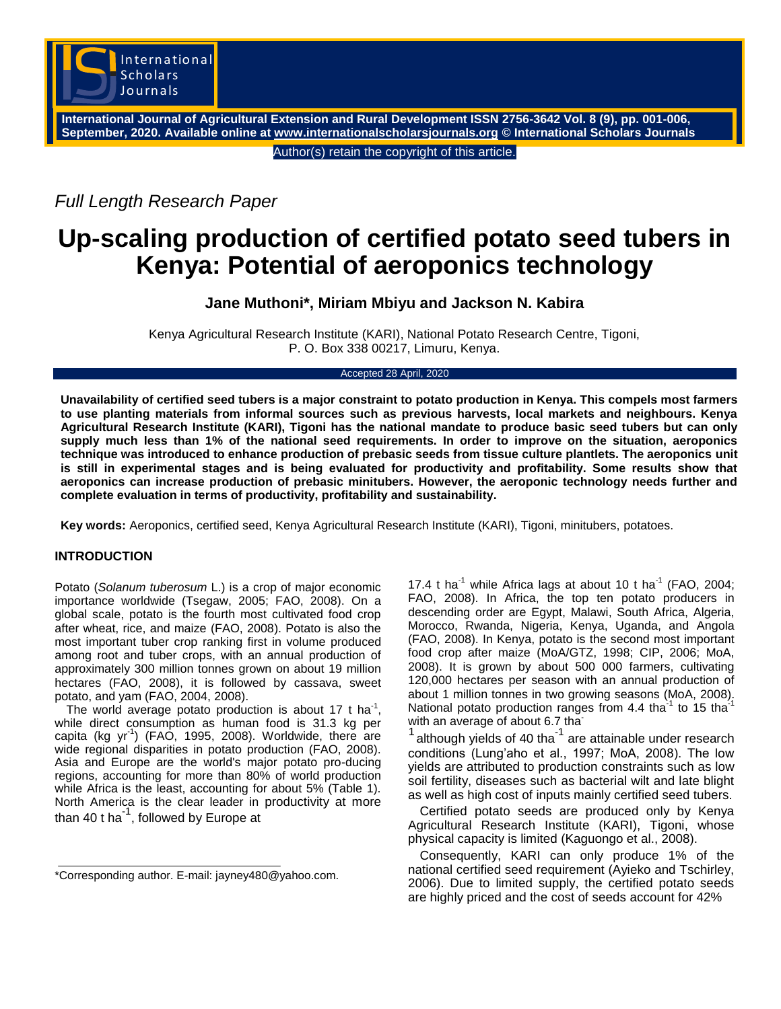

**International Journal of Agricultural Extension and Rural Development ISSN 2756-3642 Vol. 8 (9), pp. 001-006, September, 2020. Available online at [www.internationalscholarsjournals.org](../AppData/Local/Temp/www.internationalscholarsjournals.org) © International Scholars Journals**

Author(s) retain the copyright of this article.

*Full Length Research Paper*

# **Up-scaling production of certified potato seed tubers in Kenya: Potential of aeroponics technology**

## **Jane Muthoni\*, Miriam Mbiyu and Jackson N. Kabira**

Kenya Agricultural Research Institute (KARI), National Potato Research Centre, Tigoni, P. O. Box 338 00217, Limuru, Kenya.

### Accepted 28 April, 2020

**Unavailability of certified seed tubers is a major constraint to potato production in Kenya. This compels most farmers to use planting materials from informal sources such as previous harvests, local markets and neighbours. Kenya Agricultural Research Institute (KARI), Tigoni has the national mandate to produce basic seed tubers but can only supply much less than 1% of the national seed requirements. In order to improve on the situation, aeroponics technique was introduced to enhance production of prebasic seeds from tissue culture plantlets. The aeroponics unit is still in experimental stages and is being evaluated for productivity and profitability. Some results show that aeroponics can increase production of prebasic minitubers. However, the aeroponic technology needs further and complete evaluation in terms of productivity, profitability and sustainability.**

**Key words:** Aeroponics, certified seed, Kenya Agricultural Research Institute (KARI), Tigoni, minitubers, potatoes.

## **INTRODUCTION**

Potato (*Solanum tuberosum* L.) is a crop of major economic importance worldwide (Tsegaw, 2005; FAO, 2008). On a global scale, potato is the fourth most cultivated food crop after wheat, rice, and maize (FAO, 2008). Potato is also the most important tuber crop ranking first in volume produced among root and tuber crops, with an annual production of approximately 300 million tonnes grown on about 19 million hectares (FAO, 2008), it is followed by cassava, sweet potato, and yam (FAO, 2004, 2008).

The world average potato production is about 17 t ha<sup>-1</sup>, while direct consumption as human food is 31.3 kg per capita (kg yr<sup>-1</sup>) (FAO, 1995, 2008). Worldwide, there are wide regional disparities in potato production (FAO, 2008). Asia and Europe are the world's major potato pro-ducing regions, accounting for more than 80% of world production while Africa is the least, accounting for about 5% (Table 1). North America is the clear leader in productivity at more than 40 t ha $^{-1}$ , followed by Europe at

17.4 t ha<sup>-1</sup> while Africa lags at about 10 t ha<sup>-1</sup> (FAO, 2004; FAO, 2008). In Africa, the top ten potato producers in descending order are Egypt, Malawi, South Africa, Algeria, Morocco, Rwanda, Nigeria, Kenya, Uganda, and Angola (FAO, 2008). In Kenya, potato is the second most important food crop after maize (MoA/GTZ, 1998; CIP, 2006; MoA, 2008). It is grown by about 500 000 farmers, cultivating 120,000 hectares per season with an annual production of about 1 million tonnes in two growing seasons (MoA, 2008). National potato production ranges from 4.4 tha $^{-1}$  to 15 tha $^{-1}$ with an average of about 6.7 tha<sup>-</sup>

1 although yields of 40 tha<sup>-1</sup> are attainable under research conditions (Lung'aho et al., 1997; MoA, 2008). The low yields are attributed to production constraints such as low soil fertility, diseases such as bacterial wilt and late blight as well as high cost of inputs mainly certified seed tubers.

Certified potato seeds are produced only by Kenya Agricultural Research Institute (KARI), Tigoni, whose physical capacity is limited (Kaguongo et al., 2008).

Consequently, KARI can only produce 1% of the national certified seed requirement (Ayieko and Tschirley, 2006). Due to limited supply, the certified potato seeds are highly priced and the cost of seeds account for 42%

<sup>\*</sup>Corresponding author. E-mail: jayney480@yahoo.com.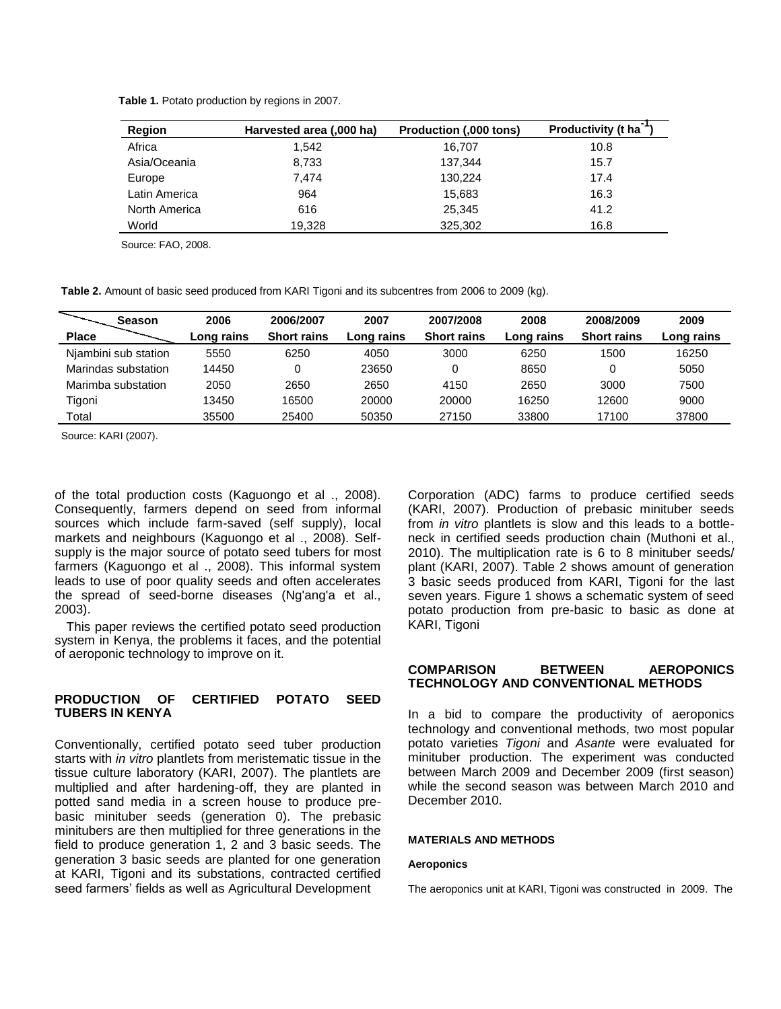|  |  | Table 1. Potato production by regions in 2007. |  |  |  |  |
|--|--|------------------------------------------------|--|--|--|--|
|--|--|------------------------------------------------|--|--|--|--|

| <b>Region</b> | Harvested area (,000 ha) | Production (,000 tons) | <b>Productivity (t ha</b> |
|---------------|--------------------------|------------------------|---------------------------|
| Africa        | 1.542                    | 16.707                 | 10.8                      |
| Asia/Oceania  | 8,733                    | 137.344                | 15.7                      |
| Europe        | 7.474                    | 130.224                | 17.4                      |
| Latin America | 964                      | 15.683                 | 16.3                      |
| North America | 616                      | 25.345                 | 41.2                      |
| World         | 19,328                   | 325,302                | 16.8                      |

Source: FAO, 2008.

**Table 2.** Amount of basic seed produced from KARI Tigoni and its subcentres from 2006 to 2009 (kg).

| <b>Season</b>        | 2006       | 2006/2007          | 2007       | 2007/2008          | 2008       | 2008/2009          | 2009       |
|----------------------|------------|--------------------|------------|--------------------|------------|--------------------|------------|
| <b>Place</b>         | Long rains | <b>Short rains</b> | Long rains | <b>Short rains</b> | Long rains | <b>Short rains</b> | Long rains |
| Njambini sub station | 5550       | 6250               | 4050       | 3000               | 6250       | 1500               | 16250      |
| Marindas substation  | 14450      |                    | 23650      | 0                  | 8650       |                    | 5050       |
| Marimba substation   | 2050       | 2650               | 2650       | 4150               | 2650       | 3000               | 7500       |
| Tigoni               | 13450      | 16500              | 20000      | 20000              | 16250      | 12600              | 9000       |
| Total                | 35500      | 25400              | 50350      | 27150              | 33800      | 17100              | 37800      |

Source: KARI (2007).

of the total production costs (Kaguongo et al ., 2008). Consequently, farmers depend on seed from informal sources which include farm-saved (self supply), local markets and neighbours (Kaguongo et al ., 2008). Selfsupply is the major source of potato seed tubers for most farmers (Kaguongo et al ., 2008). This informal system leads to use of poor quality seeds and often accelerates the spread of seed-borne diseases (Ng'ang'a et al., 2003).

This paper reviews the certified potato seed production system in Kenya, the problems it faces, and the potential of aeroponic technology to improve on it.

## **PRODUCTION OF CERTIFIED POTATO SEED TUBERS IN KENYA**

Conventionally, certified potato seed tuber production starts with *in vitro* plantlets from meristematic tissue in the tissue culture laboratory (KARI, 2007). The plantlets are multiplied and after hardening-off, they are planted in potted sand media in a screen house to produce prebasic minituber seeds (generation 0). The prebasic minitubers are then multiplied for three generations in the field to produce generation 1, 2 and 3 basic seeds. The generation 3 basic seeds are planted for one generation at KARI, Tigoni and its substations, contracted certified seed farmers' fields as well as Agricultural Development

Corporation (ADC) farms to produce certified seeds (KARI, 2007). Production of prebasic minituber seeds from *in vitro* plantlets is slow and this leads to a bottleneck in certified seeds production chain (Muthoni et al., 2010). The multiplication rate is 6 to 8 minituber seeds/ plant (KARI, 2007). Table 2 shows amount of generation 3 basic seeds produced from KARI, Tigoni for the last seven years. Figure 1 shows a schematic system of seed potato production from pre-basic to basic as done at KARI, Tigoni

## **COMPARISON BETWEEN AEROPONICS TECHNOLOGY AND CONVENTIONAL METHODS**

In a bid to compare the productivity of aeroponics technology and conventional methods, two most popular potato varieties *Tigoni* and *Asante* were evaluated for minituber production. The experiment was conducted between March 2009 and December 2009 (first season) while the second season was between March 2010 and December 2010.

## **MATERIALS AND METHODS**

#### **Aeroponics**

The aeroponics unit at KARI, Tigoni was constructed in 2009. The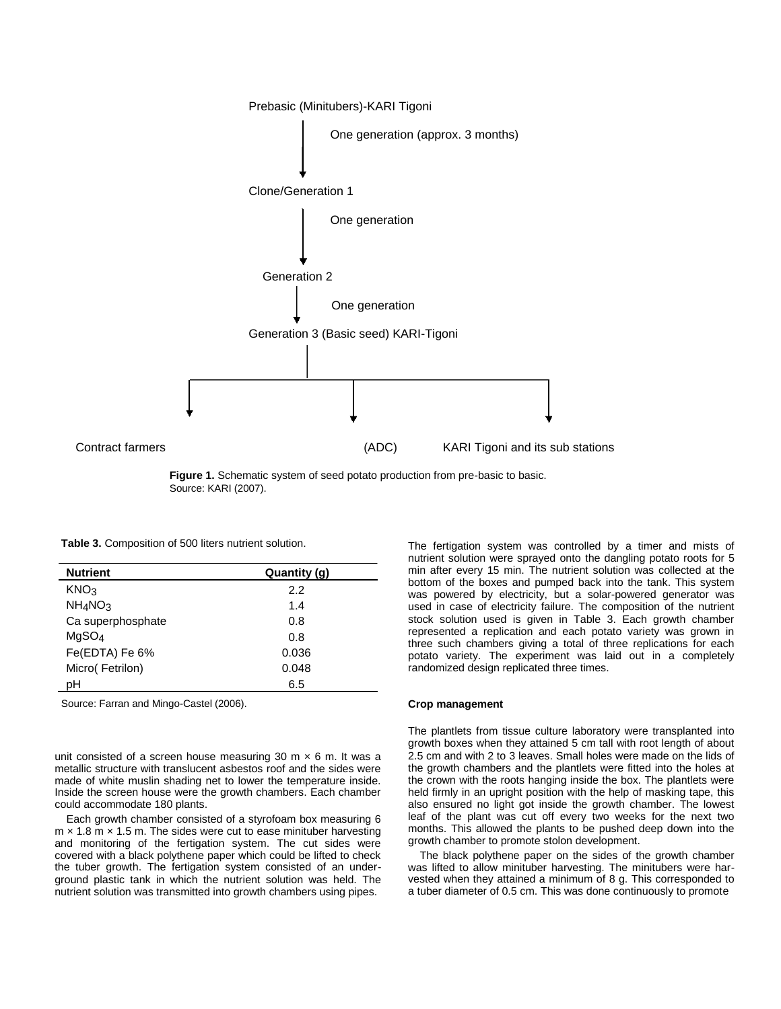

**Figure 1.** Schematic system of seed potato production from pre-basic to basic. Source: KARI (2007).

**Table 3.** Composition of 500 liters nutrient solution.

| <b>Nutrient</b>                 | Quantity (g) |
|---------------------------------|--------------|
| KNO <sub>3</sub>                | 2.2          |
| NH <sub>4</sub> NO <sub>3</sub> | 1.4          |
| Ca superphosphate               | 0.8          |
| MqSO <sub>4</sub>               | 0.8          |
| Fe(EDTA) Fe 6%                  | 0.036        |
| Micro(Fetrilon)                 | 0.048        |
| pН                              | 6.5          |

Source: Farran and Mingo-Castel (2006).

unit consisted of a screen house measuring 30 m  $\times$  6 m. It was a metallic structure with translucent asbestos roof and the sides were made of white muslin shading net to lower the temperature inside. Inside the screen house were the growth chambers. Each chamber could accommodate 180 plants.

Each growth chamber consisted of a styrofoam box measuring 6  $m \times 1.8$  m  $\times$  1.5 m. The sides were cut to ease minituber harvesting and monitoring of the fertigation system. The cut sides were covered with a black polythene paper which could be lifted to check the tuber growth. The fertigation system consisted of an underground plastic tank in which the nutrient solution was held. The nutrient solution was transmitted into growth chambers using pipes.

The fertigation system was controlled by a timer and mists of nutrient solution were sprayed onto the dangling potato roots for 5 min after every 15 min. The nutrient solution was collected at the bottom of the boxes and pumped back into the tank. This system was powered by electricity, but a solar-powered generator was used in case of electricity failure. The composition of the nutrient stock solution used is given in Table 3. Each growth chamber represented a replication and each potato variety was grown in three such chambers giving a total of three replications for each potato variety. The experiment was laid out in a completely randomized design replicated three times.

#### **Crop management**

The plantlets from tissue culture laboratory were transplanted into growth boxes when they attained 5 cm tall with root length of about 2.5 cm and with 2 to 3 leaves. Small holes were made on the lids of the growth chambers and the plantlets were fitted into the holes at the crown with the roots hanging inside the box. The plantlets were held firmly in an upright position with the help of masking tape, this also ensured no light got inside the growth chamber. The lowest leaf of the plant was cut off every two weeks for the next two months. This allowed the plants to be pushed deep down into the growth chamber to promote stolon development.

The black polythene paper on the sides of the growth chamber was lifted to allow minituber harvesting. The minitubers were harvested when they attained a minimum of 8 g. This corresponded to a tuber diameter of 0.5 cm. This was done continuously to promote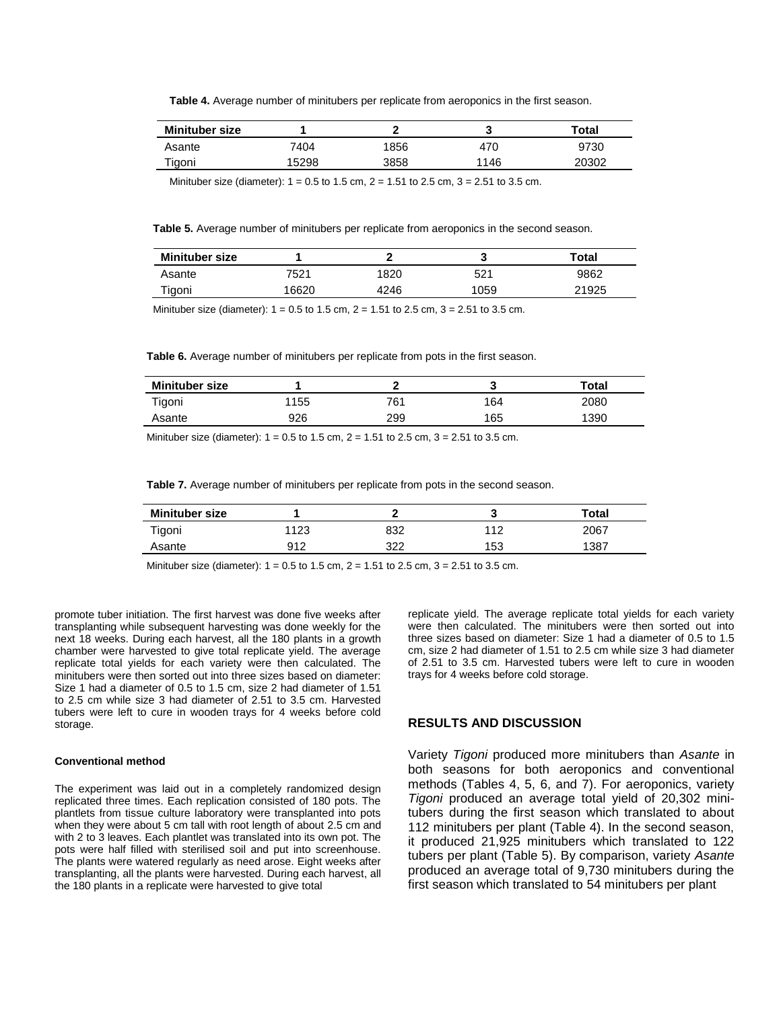**Table 4.** Average number of minitubers per replicate from aeroponics in the first season.

| <b>Minituber size</b> |       |      | u    | Total |
|-----------------------|-------|------|------|-------|
| Asante                | 7404. | 1856 | 470  | 9730  |
| Tigoni                | 15298 | 3858 | 1146 | 20302 |

Minituber size (diameter):  $1 = 0.5$  to  $1.5$  cm,  $2 = 1.51$  to  $2.5$  cm,  $3 = 2.51$  to  $3.5$  cm.

**Table 5.** Average number of minitubers per replicate from aeroponics in the second season.

| <b>Minituber size</b> |       |      |      | Total |
|-----------------------|-------|------|------|-------|
| Asante                | 7521  | 1820 | 521  | 9862  |
| Figoni                | 16620 | 4246 | 1059 | 21925 |

Minituber size (diameter):  $1 = 0.5$  to  $1.5$  cm,  $2 = 1.51$  to  $2.5$  cm,  $3 = 2.51$  to  $3.5$  cm.

**Table 6.** Average number of minitubers per replicate from pots in the first season.

| <b>Minituber size</b> |       |     | w   | Total |
|-----------------------|-------|-----|-----|-------|
| Tigoni                | l 155 | 761 | 164 | 2080  |
| Asante                | 926   | 299 | 165 | 1390  |
|                       |       |     |     |       |

Minituber size (diameter): 1 = 0.5 to 1.5 cm, 2 = 1.51 to 2.5 cm, 3 = 2.51 to 3.5 cm.

**Table 7.** Average number of minitubers per replicate from pots in the second season.

| <b>Minituber size</b> |           |            |     | ™otal |
|-----------------------|-----------|------------|-----|-------|
| ⊺igoni                | イウク<br>ںے | 832        | 110 | 2067  |
| Asante                | 912       | つつつ<br>ے ے | 153 | 1387  |

Minituber size (diameter):  $1 = 0.5$  to  $1.5$  cm,  $2 = 1.51$  to  $2.5$  cm,  $3 = 2.51$  to  $3.5$  cm.

promote tuber initiation. The first harvest was done five weeks after transplanting while subsequent harvesting was done weekly for the next 18 weeks. During each harvest, all the 180 plants in a growth chamber were harvested to give total replicate yield. The average replicate total yields for each variety were then calculated. The minitubers were then sorted out into three sizes based on diameter: Size 1 had a diameter of 0.5 to 1.5 cm, size 2 had diameter of 1.51 to 2.5 cm while size 3 had diameter of 2.51 to 3.5 cm. Harvested tubers were left to cure in wooden trays for 4 weeks before cold storage.

#### **Conventional method**

The experiment was laid out in a completely randomized design replicated three times. Each replication consisted of 180 pots. The plantlets from tissue culture laboratory were transplanted into pots when they were about 5 cm tall with root length of about 2.5 cm and with 2 to 3 leaves. Each plantlet was translated into its own pot. The pots were half filled with sterilised soil and put into screenhouse. The plants were watered regularly as need arose. Eight weeks after transplanting, all the plants were harvested. During each harvest, all the 180 plants in a replicate were harvested to give total

replicate yield. The average replicate total yields for each variety were then calculated. The minitubers were then sorted out into three sizes based on diameter: Size 1 had a diameter of 0.5 to 1.5 cm, size 2 had diameter of 1.51 to 2.5 cm while size 3 had diameter of 2.51 to 3.5 cm. Harvested tubers were left to cure in wooden trays for 4 weeks before cold storage.

## **RESULTS AND DISCUSSION**

Variety *Tigoni* produced more minitubers than *Asante* in both seasons for both aeroponics and conventional methods (Tables 4, 5, 6, and 7). For aeroponics, variety *Tigoni* produced an average total yield of 20,302 minitubers during the first season which translated to about 112 minitubers per plant (Table 4). In the second season, it produced 21,925 minitubers which translated to 122 tubers per plant (Table 5). By comparison, variety *Asante* produced an average total of 9,730 minitubers during the first season which translated to 54 minitubers per plant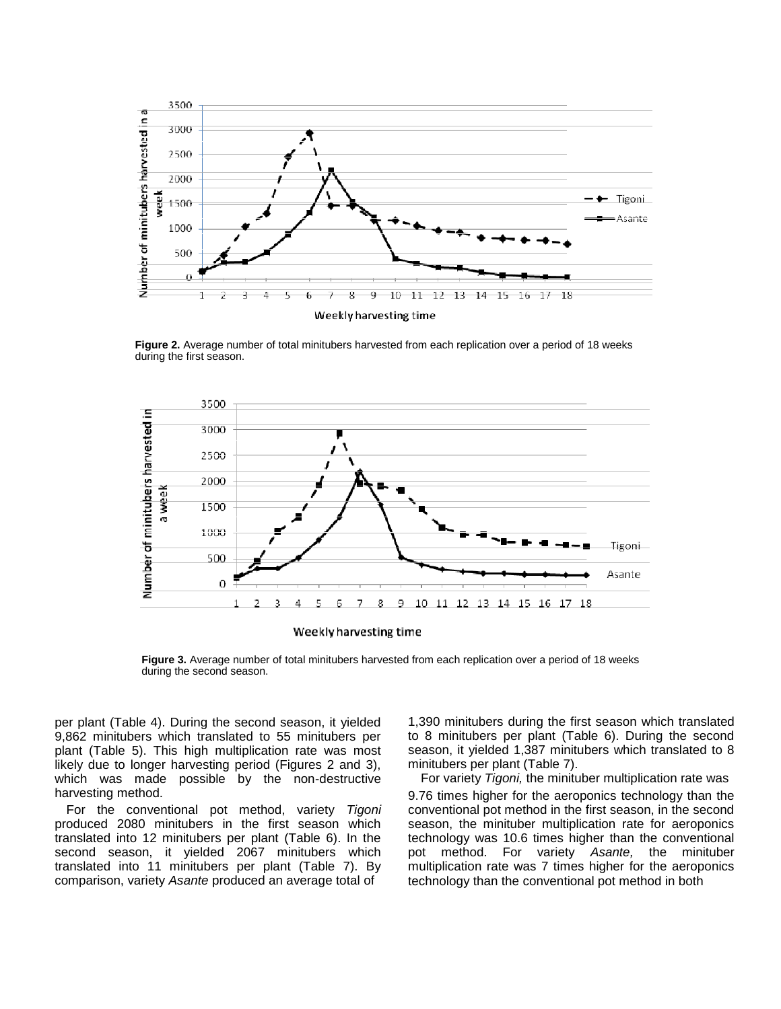

**Figure 2.** Average number of total minitubers harvested from each replication over a period of 18 weeks during the first season.



**Figure 3.** Average number of total minitubers harvested from each replication over a period of 18 weeks during the second season.

per plant (Table 4). During the second season, it yielded 9,862 minitubers which translated to 55 minitubers per plant (Table 5). This high multiplication rate was most likely due to longer harvesting period (Figures 2 and 3), which was made possible by the non-destructive harvesting method.

For the conventional pot method, variety *Tigoni* produced 2080 minitubers in the first season which translated into 12 minitubers per plant (Table 6). In the second season, it yielded 2067 minitubers which translated into 11 minitubers per plant (Table 7). By comparison, variety *Asante* produced an average total of

1,390 minitubers during the first season which translated to 8 minitubers per plant (Table 6). During the second season, it yielded 1,387 minitubers which translated to 8 minitubers per plant (Table 7).

For variety *Tigoni,* the minituber multiplication rate was 9.76 times higher for the aeroponics technology than the conventional pot method in the first season, in the second season, the minituber multiplication rate for aeroponics technology was 10.6 times higher than the conventional pot method. For variety *Asante,* the minituber multiplication rate was 7 times higher for the aeroponics technology than the conventional pot method in both